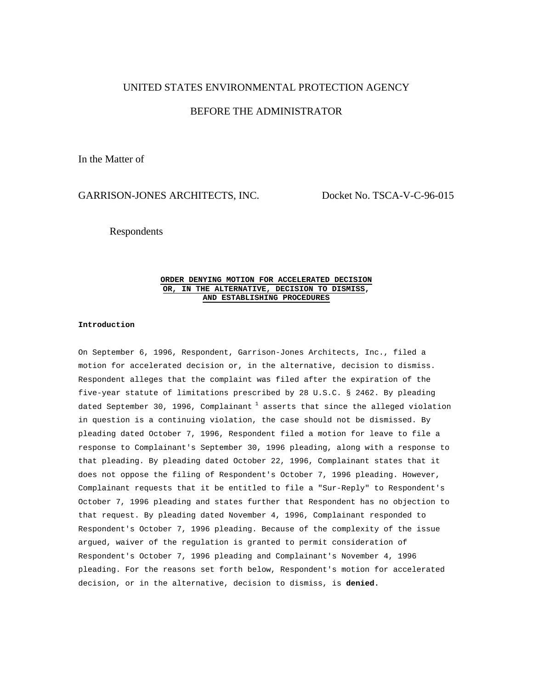# UNITED STATES ENVIRONMENTAL PROTECTION AGENCY

# BEFORE THE ADMINISTRATOR

In the Matter of

## GARRISON-JONES ARCHITECTS, INC. Docket No. TSCA-V-C-96-015

Respondents

### **ORDER DENYING MOTION FOR ACCELERATED DECISION OR, IN THE ALTERNATIVE, DECISION TO DISMISS, AND ESTABLISHING PROCEDURES**

## **Introduction**

On September 6, 1996, Respondent, Garrison-Jones Architects, Inc., filed a motion for accelerated decision or, in the alternative, decision to dismiss. Respondent alleges that the complaint was filed after the expiration of the five-year statute of limitations prescribed by 28 U.S.C. § 2462. By pleading dated September 30, 1996, Complainant  $1$  asserts that since the alleged violation in question is a continuing violation, the case should not be dismissed. By pleading dated October 7, 1996, Respondent filed a motion for leave to file a response to Complainant's September 30, 1996 pleading, along with a response to that pleading. By pleading dated October 22, 1996, Complainant states that it does not oppose the filing of Respondent's October 7, 1996 pleading. However, Complainant requests that it be entitled to file a "Sur-Reply" to Respondent's October 7, 1996 pleading and states further that Respondent has no objection to that request. By pleading dated November 4, 1996, Complainant responded to Respondent's October 7, 1996 pleading. Because of the complexity of the issue argued, waiver of the regulation is granted to permit consideration of Respondent's October 7, 1996 pleading and Complainant's November 4, 1996 pleading. For the reasons set forth below, Respondent's motion for accelerated decision, or in the alternative, decision to dismiss, is **denied.**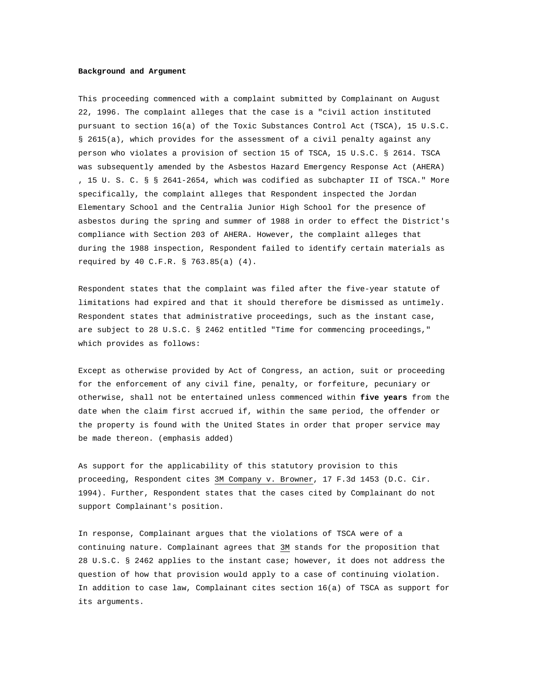#### **Background and Argument**

This proceeding commenced with a complaint submitted by Complainant on August 22, 1996. The complaint alleges that the case is a "civil action instituted pursuant to section 16(a) of the Toxic Substances Control Act (TSCA), 15 U.S.C. § 2615(a), which provides for the assessment of a civil penalty against any person who violates a provision of section 15 of TSCA, 15 U.S.C. § 2614. TSCA was subsequently amended by the Asbestos Hazard Emergency Response Act (AHERA) , 15 U. S. C. § § 2641-2654, which was codified as subchapter II of TSCA." More specifically, the complaint alleges that Respondent inspected the Jordan Elementary School and the Centralia Junior High School for the presence of asbestos during the spring and summer of 1988 in order to effect the District's compliance with Section 203 of AHERA. However, the complaint alleges that during the 1988 inspection, Respondent failed to identify certain materials as required by 40 C.F.R. § 763.85(a) (4).

Respondent states that the complaint was filed after the five-year statute of limitations had expired and that it should therefore be dismissed as untimely. Respondent states that administrative proceedings, such as the instant case, are subject to 28 U.S.C. § 2462 entitled "Time for commencing proceedings," which provides as follows:

Except as otherwise provided by Act of Congress, an action, suit or proceeding for the enforcement of any civil fine, penalty, or forfeiture, pecuniary or otherwise, shall not be entertained unless commenced within **five years** from the date when the claim first accrued if, within the same period, the offender or the property is found with the United States in order that proper service may be made thereon. (emphasis added)

As support for the applicability of this statutory provision to this proceeding, Respondent cites 3M Company v. Browner, 17 F.3d 1453 (D.C. Cir. 1994). Further, Respondent states that the cases cited by Complainant do not support Complainant's position.

In response, Complainant argues that the violations of TSCA were of a continuing nature. Complainant agrees that 3M stands for the proposition that 28 U.S.C. § 2462 applies to the instant case; however, it does not address the question of how that provision would apply to a case of continuing violation. In addition to case law, Complainant cites section 16(a) of TSCA as support for its arguments.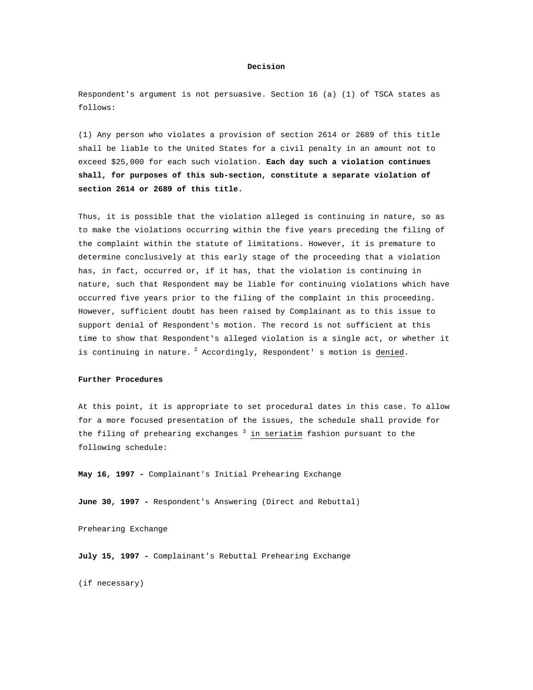#### **Decision**

Respondent's argument is not persuasive. Section 16 (a) (1) of TSCA states as follows:

(1) Any person who violates a provision of section 2614 or 2689 of this title shall be liable to the United States for a civil penalty in an amount not to exceed \$25,000 for each such violation. **Each day such a violation continues shall, for purposes of this sub-section, constitute a separate violation of section 2614 or 2689 of this title.**

Thus, it is possible that the violation alleged is continuing in nature, so as to make the violations occurring within the five years preceding the filing of the complaint within the statute of limitations. However, it is premature to determine conclusively at this early stage of the proceeding that a violation has, in fact, occurred or, if it has, that the violation is continuing in nature, such that Respondent may be liable for continuing violations which have occurred five years prior to the filing of the complaint in this proceeding. However, sufficient doubt has been raised by Complainant as to this issue to support denial of Respondent's motion. The record is not sufficient at this time to show that Respondent's alleged violation is a single act, or whether it is continuing in nature.  $^{2}$  Accordingly, Respondent's motion is denied.

### **Further Procedures**

At this point, it is appropriate to set procedural dates in this case. To allow for a more focused presentation of the issues, the schedule shall provide for the filing of prehearing exchanges  $^3$  in seriatim fashion pursuant to the following schedule:

**May 16, 1997 -** Complainant's Initial Prehearing Exchange

**June 30, 1997 -** Respondent's Answering (Direct and Rebuttal)

Prehearing Exchange

**July 15, 1997 -** Complainant's Rebuttal Prehearing Exchange

(if necessary)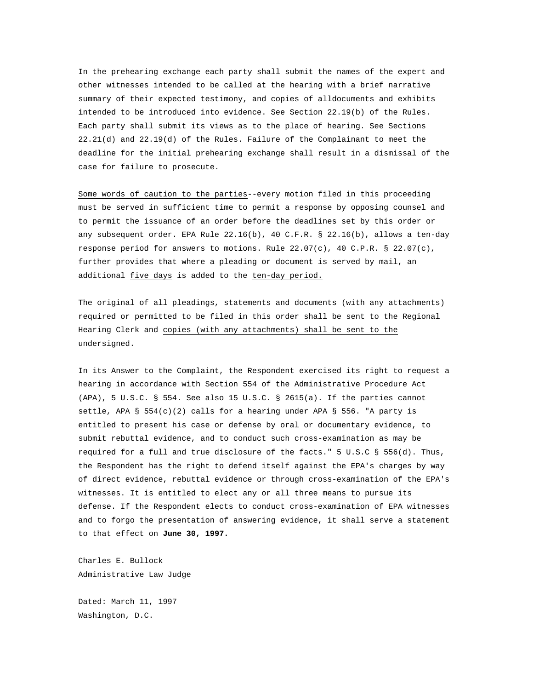In the prehearing exchange each party shall submit the names of the expert and other witnesses intended to be called at the hearing with a brief narrative summary of their expected testimony, and copies of alldocuments and exhibits intended to be introduced into evidence. See Section 22.19(b) of the Rules. Each party shall submit its views as to the place of hearing. See Sections 22.21(d) and 22.19(d) of the Rules. Failure of the Complainant to meet the deadline for the initial prehearing exchange shall result in a dismissal of the case for failure to prosecute.

Some words of caution to the parties--every motion filed in this proceeding must be served in sufficient time to permit a response by opposing counsel and to permit the issuance of an order before the deadlines set by this order or any subsequent order. EPA Rule 22.16(b), 40 C.F.R. § 22.16(b), allows a ten-day response period for answers to motions. Rule 22.07(c), 40 C.P.R. § 22.07(c), further provides that where a pleading or document is served by mail, an additional five days is added to the ten-day period.

The original of all pleadings, statements and documents (with any attachments) required or permitted to be filed in this order shall be sent to the Regional Hearing Clerk and copies (with any attachments) shall be sent to the undersigned.

In its Answer to the Complaint, the Respondent exercised its right to request a hearing in accordance with Section 554 of the Administrative Procedure Act (APA), 5 U.S.C. § 554. See also 15 U.S.C. § 2615(a). If the parties cannot settle, APA §  $554(c)(2)$  calls for a hearing under APA § 556. "A party is entitled to present his case or defense by oral or documentary evidence, to submit rebuttal evidence, and to conduct such cross-examination as may be required for a full and true disclosure of the facts." 5 U.S.C § 556(d). Thus, the Respondent has the right to defend itself against the EPA's charges by way of direct evidence, rebuttal evidence or through cross-examination of the EPA's witnesses. It is entitled to elect any or all three means to pursue its defense. If the Respondent elects to conduct cross-examination of EPA witnesses and to forgo the presentation of answering evidence, it shall serve a statement to that effect on **June 30, 1997.**

Charles E. Bullock Administrative Law Judge

Dated: March 11, 1997 Washington, D.C.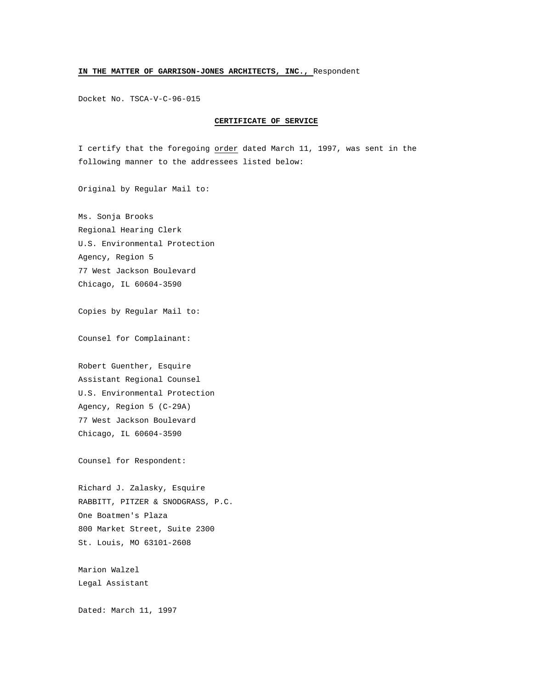## **IN THE MATTER OF GARRISON-JONES ARCHITECTS, INC.,** Respondent

Docket No. TSCA-V-C-96-015

#### **CERTIFICATE OF SERVICE**

I certify that the foregoing order dated March 11, 1997, was sent in the following manner to the addressees listed below:

Original by Regular Mail to:

Ms. Sonja Brooks Regional Hearing Clerk U.S. Environmental Protection Agency, Region 5 77 West Jackson Boulevard Chicago, IL 60604-3590

Copies by Regular Mail to:

Counsel for Complainant:

Robert Guenther, Esquire Assistant Regional Counsel U.S. Environmental Protection Agency, Region 5 (C-29A) 77 West Jackson Boulevard Chicago, IL 60604-3590

Counsel for Respondent:

Richard J. Zalasky, Esquire RABBITT, PITZER & SNODGRASS, P.C. One Boatmen's Plaza 800 Market Street, Suite 2300 St. Louis, MO 63101-2608

Marion Walzel Legal Assistant

Dated: March 11, 1997